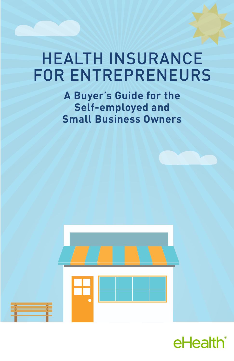# HEALTH INSURANCE FOR ENTREPRENEURS

**A Buyer's Guide for the Self-employed and Small Business Owners**



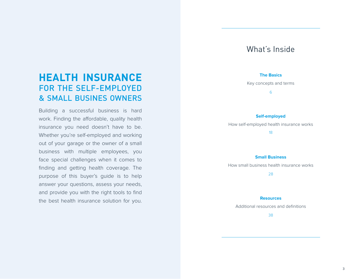# What's Inside

#### **The Basics**

Key concepts and terms

6

#### **Self-employed**

How self-employed health insurance works

18

#### **Small Business**

How small business health insurance works

28

#### **Resources**

Additional resources and definitions

38

# **HEALTH INSURANCE**  FOR THE SELF-EMPLOYED & SMALL BUSINES OWNERS

Building a successful business is hard work. Finding the affordable, quality health insurance you need doesn't have to be. Whether you're self-employed and working out of your garage or the owner of a small business with multiple employees, you face special challenges when it comes to finding and getting health coverage. The purpose of this buyer's guide is to help answer your questions, assess your needs, and provide you with the right tools to find the best health insurance solution for you.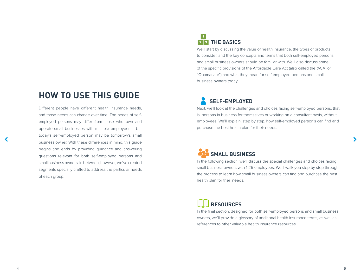# **HOW TO USE THIS GUIDE**

Different people have different health insurance needs, and those needs can change over time. The needs of selfemployed persons may differ from those who own and operate small businesses with multiple employees – but today's self-employed person may be tomorrow's small business owner. With these differences in mind, this guide begins and ends by providing guidance and answering questions relevant for both self-employed persons and small business owners. In between, however, we've created segments specially crafted to address the particular needs of each group.

## **THE BASICS 2 3 1**

We'll start by discussing the value of health insurance, the types of products to consider, and the key concepts and terms that both self-employed persons and small business owners should be familiar with. We'll also discuss some of the specific provisions of the Affordable Care Act (also called the "ACA" or "Obamacare") and what they mean for self-employed persons and small business owners today.

# **SELF-EMPLOYED**

Next, we'll look at the challenges and choices facing self-employed persons, that is, persons in business for themselves or working on a consultant basis, without employees. We'll explain, step by step, how self-employed person's can find and purchase the best health plan for their needs.

# **SMALL BUSINESS**

In the following section, we'll discuss the special challenges and choices facing small business owners with 1-25 employees. We'll walk you step by step through the process to learn how small business owners can find and purchase the best health plan for their needs.

# **RESOURCES**

In the final section, designed for both self-employed persons and small business owners, we'll provide a glossary of additional health insurance terms, as well as references to other valuable health insurance resources.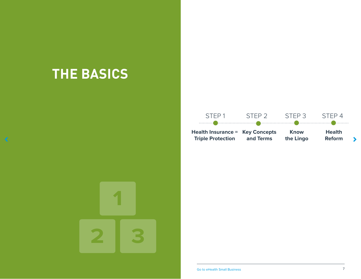# **THE BASICS**

 $\blacktriangle$ 



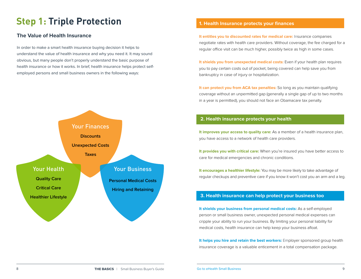# **Step 1: Triple Protection 1. Health Insurance protects your finances**

### **The Value of Health Insurance**

In order to make a smart health insurance buying decision it helps to understand the value of health insurance and why you need it. It may sound obvious, but many people don't properly understand the basic purpose of health insurance or how it works. In brief, health insurance helps protect selfemployed persons and small business owners in the following ways:



**It entitles you to discounted rates for medical care:** Insurance companies negotiate rates with health care providers. Without coverage, the fee charged for a regular office visit can be much higher, possibly twice as high in some cases.

**It shields you from unexpected medical costs:** Even if your health plan requires you to pay certain costs out of pocket, being covered can help save you from bankruptcy in case of injury or hospitalization.

**It can protect you from ACA tax penalties:** So long as you maintain qualifying coverage without an unpermitted gap (generally a single gap of up to two months in a year is permitted), you should not face an Obamacare tax penalty.

### **2. Health insurance protects your health**

**It improves your access to quality care:** As a member of a health insurance plan, you have access to a network of health care providers.

**It provides you with critical care:** When you're insured you have better access to care for medical emergencies and chronic conditions.

**It encourages a healthier lifestyle:** You may be more likely to take advantage of regular checkups and preventive care if you know it won't cost you an arm and a leg.

### **3. Health insurance can help protect your business too**

**It shields your business from personal medical costs:** As a self-employed person or small business owner, unexpected personal medical expenses can cripple your ability to run your business. By limiting your personal liability for medical costs, health insurance can help keep your business afloat.

**It helps you hire and retain the best workers:** Employer sponsored group health insurance coverage is a valuable enticement in a total compensation package.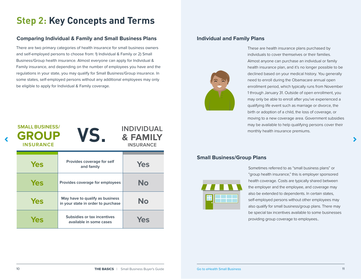# **STEP Step 2: Key Concepts and Terms**

### **Comparing Individual & Family and Small Business Plans**

There are two primary categories of health insurance for small business owners and self-employed persons to choose from: 1) Individual & Family or 2) Small Business/Group health insurance. Almost everyone can apply for Individual & Family insurance, and depending on the number of employees you have and the regulations in your state, you may qualify for Small Business/Group insurance. In some states, self-employed persons without any additional employees may only be eligible to apply for Individual & Family coverage.

| <b>SMALL BUSINESS/</b><br><b>GROUP</b><br><b>INSURANCE</b> | VS.                                                                   | <b>INDIVIDUAL</b><br><b>&amp; FAMILY</b><br><b>INSURANCE</b> |
|------------------------------------------------------------|-----------------------------------------------------------------------|--------------------------------------------------------------|
| <b>Yes</b>                                                 | Provides coverage for self<br>and family                              | <b>Yes</b>                                                   |
| <b>Yes</b>                                                 | Provides coverage for employees                                       | No                                                           |
| <b>Yes</b>                                                 | May have to qualify as business<br>in your state in order to purchase | No                                                           |
| Yes                                                        | Subsidies or tax incentives<br>available in some cases                | Yes                                                          |

### **Individual and Family Plans**



These are health insurance plans purchased by individuals to cover themselves or their families. Almost anyone can purchase an individual or family health insurance plan, and it's no longer possible to be declined based on your medical history. You generally need to enroll during the Obamacare annual open enrollment period, which typically runs from November 1 through January 31. Outside of open enrollment, you may only be able to enroll after you've experienced a qualifying life event such as marriage or divorce, the birth or adoption of a child, the loss of coverage, or moving to a new coverage area. Government subsidies may be available to help qualifying persons cover their monthly health insurance premiums.

### **Small Business/Group Plans**



Sometimes referred to as "small business plans" or "group health insurance," this is employer sponsored health coverage. Costs are typically shared between the employer and the employee, and coverage may also be extended to dependents. In certain states, self-employed persons without other employees may also qualify for small business/group plans. There may be special tax incentives available to some businesses providing group coverage to employees..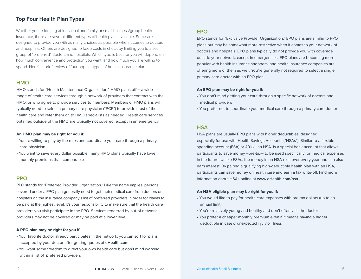## **Top Four Health Plan Types**

Whether you're looking at individual and family or small business/group health insurance, there are several different types of health plans available. Some are designed to provide you with as many choices as possible when it comes to doctors and hospitals. Others are designed to keep costs in check by limiting you to a set group of "preferred" doctors and hospitals. Which type is best for you will depend on how much convenience and protection you want, and how much you are willing to spend. Here's a brief review of four popular types of health insurance plan:

### **HMO**

HMO stands for "Health Maintenance Organization." HMO plans offer a wide range of health care services through a network of providers that contract with the HMO, or who agree to provide services to members. Members of HMO plans will typically need to select a primary care physician ("PCP") to provide most of their health care and refer them on to HMO specialists as needed. Health care services obtained outside of the HMO are typically not covered, except in an emergency.

#### **An HMO plan may be right for you if:**

- You're willing to play by the rules and coordinate your care through a primary care physician
- You want to save every dollar possible; many HMO plans typically have lower monthly premiums than comparable

### **PPO**

PPO stands for "Preferred Provider Organization." Like the name implies, persons covered under a PPO plan generally need to get their medical care from doctors or hospitals on the insurance company's list of preferred providers in order for claims to be paid at the highest level. It's your responsibility to make sure that the health care providers you visit participate in the PPO. Services rendered by out-of-network providers may not be covered or may be paid at a lower level.

#### **A PPO plan may be right for you if:**

- Your favorite doctor already participates in the network; you can sort for plans accepted by your doctor after getting quotes at **eHealth.com**
- You want some freedom to direct your own health care but don't mind working within a list of preferred providers

### **EPO**

EPO stands for "Exclusive Provider Organization." EPO plans are similar to PPO plans but may be somewhat more restrictive when it comes to your network of doctors and hospitals. EPO plans typically do not provide you with coverage outside your network, except in emergencies. EPO plans are becoming more popular with health insurance shoppers, and health insurance companies are offering more of them as well. You're generally not required to select a single primary care doctor with an EPO plan.

#### **An EPO plan may be right for you if:**

- You don't mind getting your care through a specific network of doctors and medical providers
- You prefer not to coordinate your medical care through a primary care doctor

### **HSA**

HSA plans are usually PPO plans with higher deductibles, designed especially for use with Health Savings Accounts ("HSAs"). Similar to a flexible spending account (FSA) or 401(k), an HSA is a special bank account that allows participants to save money –pre-tax– to be used specifically for medical expenses in the future. Unlike FSAs, the money in an HSA rolls over every year and can also earn interest. By pairing a qualifying high-deductible health plan with an HSA, participants can save money on health care and earn a tax write-off. Find more information about HSAs online at **www.eHealth.com/hsa.**

#### **An HSA-eligible plan may be right for you if:**

- You would like to pay for health care expenses with pre-tax dollars (up to an annual limit)
- You're relatively young and healthy and don't often visit the doctor
- You prefer a cheaper monthly premium even if it means having a higher deductible in case of unexpected injury or illness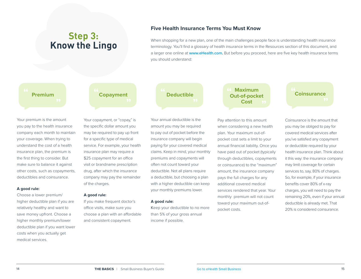# **Step 3: Know the Lingo**

### **Five Health Insurance Terms You Must Know**

When shopping for a new plan, one of the main challenges people face is understanding health insurance terminology. You'll find a glossary of health insurance terms in the Resources section of this document, and a larger one online at **[www.eHealth.com](https://www.ehealthinsurance.com).** But before you proceed, here are five key health insurance terms you should understand:

# **14 Copayment** The Copayment The Copayment Copayment Deductible

Your premium is the amount you pay to the health insurance company each month to maintain your coverage. When trying to understand the cost of a health insurance plan, the premium is the first thing to consider. But make sure to balance it against other costs, such as copayments, deductibles and coinsurance.

#### **A good rule:**

Choose a lower premium/ higher deductible plan if you are relatively healthy and want to save money upfront. Choose a higher monthly premium/lower deductible plan if you want lower costs when you actually get medical services.



Your copayment, or "copay," is the specific dollar amount you may be required to pay up front for a specific type of medical service. For example, your health insurance plan may require a \$25 copayment for an office visit or brandname prescription drug, after which the insurance company may pay the remainder of the charges.

#### **A good rule:**

If you make frequent doctor's office visits, make sure you choose a plan with an affordable and consistent copayment.

Your annual deductible is the amount you may be required to pay out of pocket before the insurance company will begin paying for your covered medical claims. Keep in mind, your monthly premiums and copayments will often not count toward your deductible. Not all plans require a deductible, but choosing a plan with a higher deductible can keep your monthly premiums lower.

#### **A good rule:**

Keep your deductible to no more than 5% of your gross annual income if possible.

**Maximum Cost**

Pay attention to this amount when considering a new health plan. Your maximum out-ofpocket cost sets a limit to your annual financial liability. Once you have paid out of pocket (typically through deductibles, copayments or coinsurance) to the "maximum" amount, the insurance company pays the full charges for any additional covered medical services rendered that year. Your monthly premium will not count toward your maximum out-ofpocket costs.



Coinsurance is the amount that you may be obliged to pay for covered medical services after you've satisfied any copayment or deductible required by your health insurance plan. Think about it this way: the insurance company may limit coverage for certain services to, say, 80% of charges. So, for example, if your insurance benefits cover 80% of x-ray charges, you will need to pay the remaining 20%, even if your annual deductible is already met. That 20% is considered coinsurance.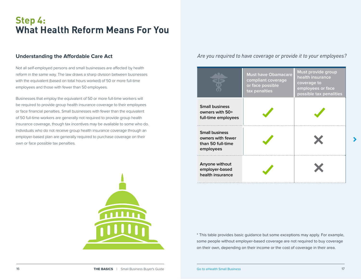# **Step 4: What Health Reform Means For You**

### **Understanding the Affordable Care Act**

Not all self-employed persons and small businesses are affected by health reform in the same way. The law draws a sharp division between businesses with the equivalent (based on total hours worked) of 50 or more full-time employees and those with fewer than 50 employees.

Businesses that employ the equivalent of 50 or more full-time workers will be required to provide group health insurance coverage to their employees or face financial penalties. Small businesses with fewer than the equivalent of 50 full-time workers are generally not required to provide group health insurance coverage, though tax incentives may be available to some who do. Individuals who do not receive group health insurance coverage through an employer-based plan are generally required to purchase coverage on their own or face possible tax penalties.

## *Are you required to have coverage or provide it to your employees?*





\* This table provides basic guidance but some exceptions may apply. For example, some people without employer-based coverage are not required to buy coverage on their own, depending on their income or the cost of coverage in their area.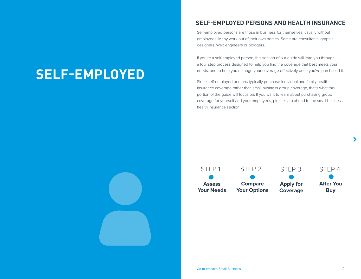# **SELF-EMPLOYED**

## **SELF-EMPLOYED PERSONS AND HEALTH INSURANCE**

Self-employed persons are those in business for themselves, usually without employees. Many work out of their own homes. Some are consultants, graphic designers, Web engineers or bloggers.

If you're a self-employed person, this section of our guide will lead you through a four step process designed to help you find the coverage that best meets your needs, and to help you manage your coverage effectively once you've purchased it.

Since self-employed persons typically purchase individual and family health insurance coverage rather than small business group coverage, that's what this portion of the guide will focus on. If you want to learn about purchasing group coverage for yourself and your employees, please skip ahead to the small business health insurance section.

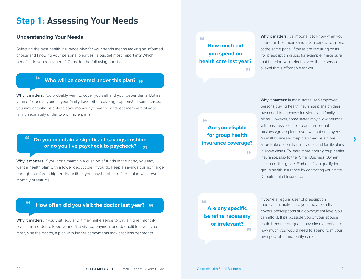# **Step 1: Assessing Your Needs**

### **Understanding Your Needs**

Selecting the best health insurance plan for your needs means making an informed choice and knowing your personal priorities. Is budget most important? Which benefits do you really need? Consider the following questions.

# **EXECUTE: 1999 Who will be covered under this plan?**

**Why it matters:** You probably want to cover yourself and your dependents. But ask yourself: does anyone in your family have other coverage options? In some cases, you may actually be able to save money by covering different members of your family separately under two or more plans.

# **EXECTS** The you maintain a significant savings cushion<br>
or do you live paycheck to paycheck? **or do you live paycheck to paycheck?**

**Why it matters:** If you don't maintain a cushion of funds in the bank, you may want a health plan with a lower deductible. If you do keep a savings cushion large enough to afford a higher deductible, you may be able to find a plan with lower monthly premiums.

# **<sup>66</sup> How often did you visit the doctor last year? "**

**Why it matters:** If you visit regularly, it may make sense to pay a higher monthly premium in order to keep your office visit co-payment and deductible low. If you rarely visit the doctor, a plan with higher copayments may cost less per month.

**How much did you spend on health care last year? " "**

**Why it matters:** It's important to know what you spend on healthcare and if you expect to spend at the same pace. If these are recurring costs (for prescription drugs, for example) make sure that the plan you select covers these services at a level that's affordable for you.

# **Are you eligible for group health insurance coverage? "**

**"**

persons buying health insurance plans on their own need to purchase individual and family plans. However, some states may allow persons with business licenses to purchase small business/group plans, even without employees. A small business/group plan may be a more affordable option than individual and family plans in some cases. To learn more about group health insurance, skip to the "Small Business Owner" section of this guide. Find out if you qualify for group health insurance by contacting your state Department of Insurance.

**Why it matters:** In most states, self-employed

#### **"**

**Are any specific benefits necessary or irrelevant? "** If you're a regular user of prescription medication, make sure you find a plan that covers prescriptions at a co-payment level you can afford. If it's possible you or your spouse could become pregnant, pay close attention to how much you would need to spend form your own pocket for maternity care.

[Go to eHealth Small Business](https://www.ehealthinsurance.com/small-business-health-insurance)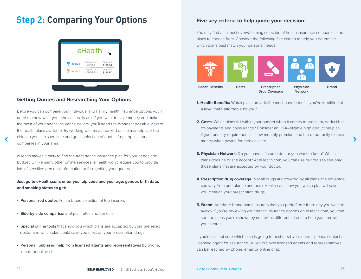# **Step 2: Comparing Your Options**



## **Getting Quotes and Researching Your Options**

Before you can compare your Individual and Family health insurance options you'll need to know what your choices really are. If you want to save money and make the most of your health insurance dollars, you'll need the broadest possible view of the health plans available. By working with an authorized online marketplace like eHealth you can save time and get a selection of quotes from top insurance companies in your area.

eHealth makes it easy to find the right health insurance plan for your needs and budget. Unlike many other online services, eHealth won't require you to provide lots of sensitive personal information before getting your quotes.

**Just go to eHealth.com, enter your zip code and your age, gender, birth date, and smoking status to get:**

- **Personalized quotes** from a broad selection of top insurers
- **Side-by-side comparisons** of plan rates and benefits
- **Special online tools** that show you which plans are accepted by your preferred doctor and which plan could save you most on your prescription drugs
- **Personal, unbiased help from licensed agents and representatives** by phone, email, or online chat

### **Five key criteria to help guide your decision:**

You may find an almost overwhelming selection of health insurance companies and plans to choose from. Consider the following five criteria to help you determine which plans best match your personal needs.



- **1. Health Benefits:** Which plans provide the must-have benefits you've identified at a level that's affordable for you?
- **2. Costs:** Which plans fall within your budget when it comes to premium, deductible, co-payments and coinsurance? Consider an HSA–eligible high deductible plan if your primary requirement is a low monthly premium and the opportunity to save money when paying for medical care.
- **3. Physician Network:** Do you have a favorite doctor you want to keep? Which plans does he or she accept? At eHealth.com, you can use our tools to see only those plans that are accepted by your doctor.
- **4. Prescription drug coverage:** Not all drugs are covered by all plans, the coverage can vary from one plan to another. eHealth can show you which plan will save you most on your prescription drugs.
- **5. Brand:** Are there brand-name insurers that you prefer? Are there any you want to avoid? If you're reviewing your health insurance options on eHealth.com, you can sort the plans you're shown by numerous different criteria to help you narrow your search.

If you're still not sure which plan is going to best meet your needs, please contact a licensed agent for assistance. eHealth's own licensed agents and representatives can be reached by phone, email or online chat.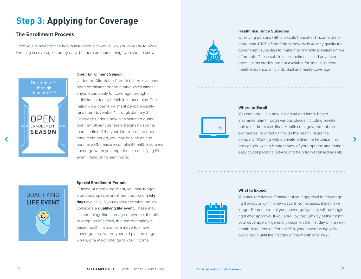# **Step 3: Applying for Coverage**

## **The Enrollment Process**

Once you've selected the health insurance plan you'd like, you're ready to enroll. Enrolling in coverage is pretty easy, but here are some things you should know:



#### **Open Enrollment Season**

Under the Affordable Care Act, there's an annual open enrollment period during which almost anyone can apply for coverage through an individual or family health insurance plan. The nationwide open enrollment period typically runs from November 1 through January 31. Coverage under a new plan selected during open enrollment generally begins no sooner than the first of the year. Outside of the open enrollment period, you may only be able to purchase Obamacare-compliant health insurance coverage when you experience a qualifying life event. Read on to learn more.



#### **Health Insurance Subsidies**

Qualifying persons with a taxable household income of no more than 400% of the federal poverty level may qualify for government subsidies to make their monthly premiums more affordable. These subsidies, sometimes called advanced premium tax credits, are not available for small business health insurance, only individual and family coverage.



#### **Where to Enroll**

You can enroll in a new individual and family health insurance plan through various places including private online marketplaces like eHealth.com, government-run exchanges, or directly through the health insurance company. Working with a private online marketplace may provide you with a broader view of your options and make it easy to get personal advice and help from licensed agents.

#### **Special Enrollment Periods**



Outside of open enrollment, you may trigger a personal special enrollment period of **sixty days** (typically) if you experience what the law considers a **qualifying life event.** These may include things like marriage or divorce, the birth or adoption of a child, the loss of employerbased health insurance, a move to a new coverage area where your old plan no longer works, or a major change to your income.



#### **What to Expect**

You may receive confirmation of your approval for coverage right away, or within a few days. In some cases, it may take longer. Remember that your coverage typically will not begin right after approval. If you enroll by the 15th day of the month, your coverage will generally begin on the first day of the next month. If you enroll after the 15th, your coverage typically won't begin until the first day of the month after next.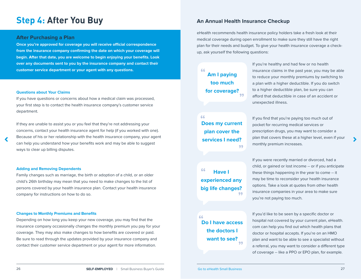# **Step 4: After You Buy**

#### **After Purchasing a Plan**

**Once you're approved for coverage you will receive official correspondence from the insurance company confirming the date on which your coverage will begin. After that date, you are welcome to begin enjoying your benefits. Look over any documents sent to you by the insurance company and contact their customer service department or your agent with any questions.**

#### **Questions about Your Claims**

If you have questions or concerns about how a medical claim was processed, your first step is to contact the health insurance company's customer service department.

If they are unable to assist you or you feel that they're not addressing your concerns, contact your health insurance agent for help (if you worked with one). Because of his or her relationship with the health insurance company, your agent can help you understand how your benefits work and may be able to suggest ways to clear up billing disputes.

#### **Adding and Removing Dependents**

Family changes such as marriage, the birth or adoption of a child, or an older child's 26th birthday may mean that you need to make changes to the list of persons covered by your health insurance plan. Contact your health insurance company for instructions on how to do so.

#### **Changes to Monthly Premiums and Benefits**

Depending on how long you keep your new coverage, you may find that the insurance company occasionally changes the monthly premium you pay for your coverage. They may also make changes to how benefits are covered or paid. Be sure to read through the updates provided by your insurance company and contact their customer service department or your agent for more information.

### **An Annual Health Insurance Checkup**

eHealth recommends health insurance policy holders take a fresh look at their medical coverage during open enrollment to make sure they still have the right plan for their needs and budget. To give your health insurance coverage a checkup, ask yourself the following questions:

### **" " Am I paying too much for coverage?**

 **" Does my current " plan cover the services I need?**

If you're healthy and had few or no health insurance claims in the past year, you may be able to reduce your monthly premiums by switching to a plan with a higher deductible. If you do switch to a higher deductible plan, be sure you can afford that deductible in case of an accident or unexpected illness.

If you find that you're paying too much out of pocket for recurring medical services or prescription drugs, you may want to consider a plan that covers these at a higher level, even if your monthly premium increases.

 **" " Have I experienced any big life changes?**

# **" Do I have access " the doctors I want to see?**

If you were recently married or divorced, had a child, or gained or lost income -- or if you anticipate these things happening in the year to come -- it may be time to reconsider your health insurance options. Take a look at quotes from other health insurance companies in your area to make sure you're not paying too much.

If you'd like to be seen by a specific doctor or hospital not covered by your current plan, eHealth. com can help you find out which health plans that doctor or hospital accepts. If you're on an HMO plan and want to be able to see a specialist without a referral, you may want to consider a different type of coverage -- like a PPO or EPO plan, for example.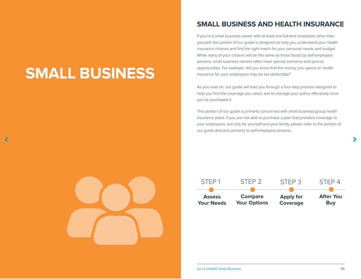# **SMALL BUSINESS**

# **SMALL BUSINESS AND HEALTH INSURANCE**

If you're a small business owner with at least one full-time employee other than yourself, this portion of our guide is designed to help you understand your health insurance choices and find the right match for your personal needs and budget. While many of your choices will be the same as those faced by self-employed persons, small business owners often have special concerns and special opportunities. For example, did you know that the money you spend on health insurance for your employees may be tax-deductible?

As you read on, our guide will lead you through a four-step process designed to help you find the coverage you need, and to manage your policy effectively once you've purchased it.

This portion of our guide is primarily concerned with small business/group health insurance plans. If you are not able to purchase a plan that provides coverage to your employees, but only for yourself and your family, please refer to the portion of our guide directed primarily to self-employed persons.

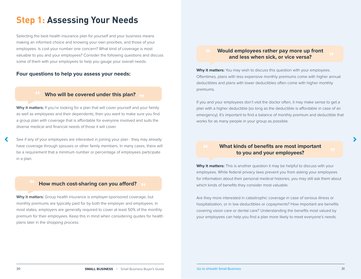# **Step 1: Assessing Your Needs**

**1** Selecting the best health insurance plan for yourself and your business means making an informed choice and knowing your own priorities, and those of your employees. Is cost your number one concern? What kind of coverage is most valuable to you and your employees? Consider the following questions and discuss some of them with your employees to help you gauge your overall needs.

### **Four questions to help you assess your needs:**

# **EXECUTE:** Who will be covered under this plan?

**Why it matters:** If you're looking for a plan that will cover yourself and your family as well as employees and their dependents, then you want to make sure you find a group plan with coverage that is affordable for everyone involved and suits the diverse medical and financial needs of those it will cover.

See if any of your employees are interested in joining your plan - they may already have coverage through spouses or other family members. In many cases, there will be a requirement that a minimum number or percentage of employees participate in a plan.

# **How much cost-sharing can you afford?**

**Why it matters:** Group health insurance is employer-sponsored coverage, but monthly premiums are typically paid for by both the employer and employees. In most states, employers are generally required to cover at least 50% of the monthly premium for their employees. Keep this in mind when considering quotes for health plans later in the shopping process.

# **EXECUTE 18 AND MOULD EMPLOYEES rather pay more up front**<br>and less when sick, or vice versa? **and less when sick, or vice versa?**

**Why it matters:** You may wish to discuss this question with your employees. Oftentimes, plans with less expensive monthly premiums come with higher annual deductibles and plans with lower deductibles often come with higher monthly premiums.

If you and your employees don't visit the doctor often, it may make sense to get a plan with a higher deductible (so long as the deductible is affordable in case of an emergency). It's important to find a balance of monthly premium and deductible that works for as many people in your group as possible.

# **EXECUTE 18 WHAT KINDS OF benefits are most important to you and your employees? to you and your employees?**

**Why it matters:** This is another question it may be helpful to discuss with your employees. While federal privacy laws prevent you from asking your employees for information about their personal medical histories, you may still ask them about which kinds of benefits they consider most valuable.

Are they more interested in catastrophic coverage in case of serious illness or hospitalization, or in low deductibles or copayments? How important are benefits covering vision care or dental care? Understanding the benefits most valued by your employees can help you find a plan more likely to meet everyone's needs.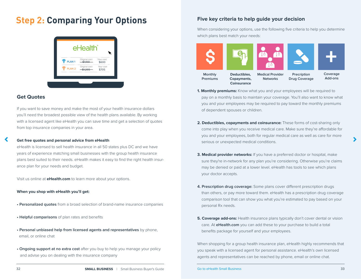# **Step 2: Comparing Your Options**



### **Get Quotes**

If you want to save money and make the most of your health insurance dollars you'll need the broadest possible view of the health plans available. By working with a licensed agent like eHealth you can save time and get a selection of quotes from top insurance companies in your area.

#### **Get free quotes and personal advice from eHealth**

eHealth is licensed to sell health insurance in all 50 states plus DC and we have years of experience matching small businesses with the group health insurance plans best suited to their needs. eHealth makes it easy to find the right health insurance plan for your needs and budget.

Visit us online at **eHealth.com** to learn more about your options.

#### **When you shop with eHealth you'll get:**

- **Personalized quotes** from a broad selection of brand-name insurance companies
- **Helpful comparisons** of plan rates and benefits
- **Personal unbiased help from licensed agents and representatives** by phone, email, or online chat
- **Ongoing support at no extra cost** after you buy to help you manage your policy and advise you on dealing with the insurance company

### **Five key criteria to help guide your decision**

When considering your options, use the following five criteria to help you determine which plans best match your needs:



- **1. Monthly premiums:** Know what you and your employees will be required to pay on a monthly basis to maintain your coverage. You'll also want to know what you and your employees may be required to pay toward the monthly premiums of dependent spouses or children.
- **2. Deductibles, copayments and coinsurance:** These forms of cost-sharing only come into play when you receive medical care. Make sure they're affordable for you and your employees, both for regular medical care as well as care for more serious or unexpected medical conditions.
- **3. Medical provider networks:** If you have a preferred doctor or hospital, make sure they're in-network for any plan you're considering. Otherwise you're claims may be denied or paid at a lower level. eHealth has tools to see which plans your doctor accepts.
- **4. Prescription drug coverage:** Some plans cover different prescription drugs than others, or pay more toward them. eHealth has a prescription drug coverage comparison tool that can show you what you're estimated to pay based on your personal Rx needs.
- **5. Coverage add-ons:** Health insurance plans typically don't cover dental or vision care. At **eHealth.com** you can add these to your purchase to build a total benefits package for yourself and your employees.

When shopping for a group health insurance plan, eHealth highly recommends that you speak with a licensed agent for personal assistance. eHealth's own licensed agents and representatives can be reached by phone, email or online chat.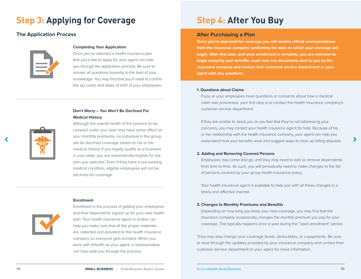# **Step 3: Applying for Coverage**

### **The Application Process**



#### **Completing Your Application**

Once you've selected a health insurance plan that you'd like to apply for, your agent can help you through the application process. Be sure to answer all questions honestly to the best of your knowledge. You may find that you'll need to confirm the zip codes and dates of birth of your employees.

### **Don't Worry – You Won't Be Declined For Medical History**

Although the overall health of the persons to be covered under your plan may have some effect on your monthly premiums, no individual in the group will be declined coverage based on his or her medical history. If you legally qualify as a business in your state, you are automatically eligible for the plan you selected. Even if they have a pre-existing medical condition, eligible employees will not be declined for coverage.

# **Enrollment**



Enrollment is the process of getting your employees and their dependents signed up for your new health plan. Your health insurance agent or broker can help you make sure that all the proper materials are collected and provided to the health insurance company so everyone gets enrolled. When you work with eHealth as your agent, a representative can help walk you through the process.

# **Step 4: After You Buy**

### **After Purchasing a Plan**

**Once you're approved for coverage you will receive official correspondence from the insurance company confirming the date on which your coverage will begin. After that date, and once enrollment is complete, you are welcome to begin enjoying your benefits. Look over any documents sent to you by the insurance company and contact their customer service department or your agent with any questions.**

#### **1. Questions about Claims**

If you or your employees have questions or concerns about how a medical claim was processed, your first step is to contact the health insurance company's customer service department.

 If they are unable to assist you or you feel that they're not addressing your concerns, you may contact your health insurance agent for help. Because of his or her relationship with the health insurance company, your agent can help you understand how your benefits work and suggest ways to clear up billing disputes.

#### **2. Adding and Removing Covered Persons**

 Employees may come and go, and they may need to add or remove dependents from time to time. As such, you will periodically need to make changes to the list of persons covered by your group health insurance policy.

 Your health insurance agent is available to help you with all these changes in a timely and effective manner.

#### **3. Changes to Monthly Premiums and Benefits**

 Depending on how long you keep your new coverage, you may find that the insurance company occasionally changes the monthly premium you pay for your coverage. This typically happens once a year during the "open enrollment" period.

They may also change your coverage levels, deductibles, or copayments. Be sure to read through the updates provided by your insurance company and contact their customer service department or your agent for more information.

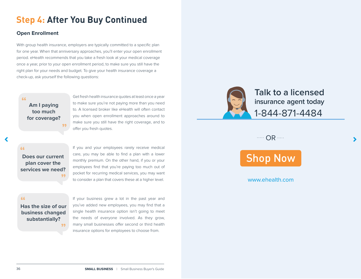# **Step 4: After You Buy Continued**

## **Open Enrollment**

With group health insurance, employers are typically committed to a specific plan for one year. When that anniversary approaches, you'll enter your open enrollment period. eHealth recommends that you take a fresh look at your medical coverage once a year, prior to your open enrollment period, to make sure you still have the right plan for your needs and budget. To give your health insurance coverage a check-up, ask yourself the following questions:

## **Am I paying too much for coverage? "**

**"**

Get fresh health insurance quotes at least once a year to make sure you're not paying more than you need to. A licensed broker like eHealth will often contact you when open enrollment approaches around to make sure you still have the right coverage, and to offer you fresh quotes.

## **"**

**Does our current plan cover the services we need? "**

If you and your employees rarely receive medical care, you may be able to find a plan with a lower monthly premium. On the other hand, if you or your employees find that you're paying too much out of pocket for recurring medical services, you may want to consider a plan that covers these at a higher level.

**Has the size of our business changed substantially? " "**

If your business grew a lot in the past year and you've added new employees, you may find that a single health insurance option isn't going to meet the needs of everyone involved. As they grow, many small businesses offer second or third health insurance options for employees to choose from.



**Talk to a licensed insurance agent today** 1-844-871-4484

 $\cdots$  OR  $\cdots$ 



## [www.ehealth.com](https://www.ehealthinsurance.com)

36 **SMALL BUSINESS** |Small Business Buyer's Guide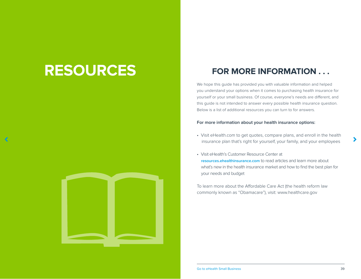# **RESOURCES**

# **FOR MORE INFORMATION . . .**

We hope this guide has provided you with valuable information and helped you understand your options when it comes to purchasing health insurance for yourself or your small business. Of course, everyone's needs are different, and this guide is not intended to answer every possible health insurance question. Below is a list of additional resources you can turn to for answers.

#### **For more information about your health insurance options:**

- Visit eHealth.com to get quotes, compare plans, and enroll in the health insurance plan that's right for yourself, your family, and your employees
- Visit eHealth's Customer Resource Center at **[resources.ehealthinsurance.com](https://resources.ehealthinsurance.com/)** to read articles and learn more about what's new in the health insurance market and how to find the best plan for your needs and budget

To learn more about the Affordable Care Act (the health reform law commonly known as "Obamacare"), visit: www.healthcare.gov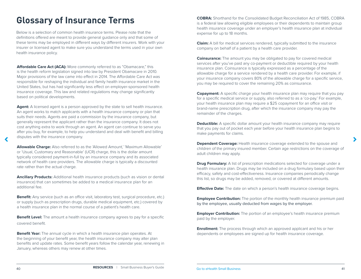# **Glossary of Insurance Terms**

Below is a selection of common health insurance terms. Please note that the definitions offered are meant to provide general guidance only and that some of these terms may be employed in different ways by different insurers. Work with your insurer or licensed agent to make sure you understand the terms used in your own health insurance policy.

**Affordable Care Act (ACA):** More commonly referred to as "Obamacare," this is the health reform legislation signed into law by President Obamacare in 2010. Major provisions of the law came into effect in 2014. The Affordable Care Act was responsible for reshaping the individual and family health insurance market in the United States, but has had significantly less effect on employer-sponsored health insurance coverage. This law and related regulations may change significantly based on political developments.

**Agent:** A licensed agent is a person approved by the state to sell health insurance. An agent works to match applicants with a health insurance company or plan that suits their needs. Agents are paid a commission by the insurance company, but generally represent the applicant rather than the insurance company. It does not cost anything extra to work through an agent. An agent can continue to serve you after you buy, for example, to help you understand and deal with benefit and billing disputes with the insurance company.

**Allowable Charge:** Also referred to as the 'Allowed Amount,' 'Maximum Allowable' or 'Usual, Customary and Reasonable' (UCR) charge, this is the dollar amount typically considered payment-in-full by an insurance company and its associated network of health care providers. The allowable charge is typically a discounted rate rather than the actual charge.

**Ancillary Products:** Additional health insurance products (such as vision or dental insurance) that can sometimes be added to a medical insurance plan for an additional fee.

**Benefit:** Any service (such as an office visit, laboratory test, surgical procedure, etc.) or supply (such as prescription drugs, durable medical equipment, etc.) covered by a health insurance plan in the normal course of a patient's health care.

**Benefit Level:** The amount a health insurance company agrees to pay for a specific covered benefit.

**Benefit Year:** The annual cycle in which a health insurance plan operates. At the beginning of your benefit year, the health insurance company may alter plan benefits and update rates. Some benefit years follow the calendar year, renewing in January, whereas others may renew at other times.

**COBRA:** Shorthand for the Consolidated Budget Reconciliation Act of 1985, COBRA is a federal law allowing eligible employees or their dependents to maintain group health insurance coverage under an employer's health insurance plan at individual expense for up to 18 months.

**Claim:** A bill for medical services rendered, typically submitted to the insurance company on behalf of a patient by a health care provider.

**Coinsurance:** The amount you may be obligated to pay for covered medical services after you've paid any co-payment or deductible required by your health insurance plan. Coinsurance is typically expressed as a percentage of the allowable charge for a service rendered by a health care provider. For example, if your insurance company covers 80% of the allowable charge for a specific service, you may be required to cover the remaining 20% as coinsurance.

**Copayment:** A specific charge your health insurance plan may require that you pay for a specific medical service or supply, also referred to as a 'co-pay.' For example, your health insurance plan may require a \$25 copayment for an office visit or brand-name prescription drug, after which the insurance company may pay the remainder of the charges.

**Deductible:** A specific dollar amount your health insurance company may require that you pay out of pocket each year before your health insurance plan begins to make payments for claims.

**Dependent Coverage:** Health insurance coverage extended to the spouse and children of the primary insured member. Certain age restrictions on the coverage of adult children may apply.

**Drug Formulary:** A list of prescription medications selected for coverage under a health insurance plan. Drugs may be included on a drug formulary based upon their efficacy, safety and cost-effectiveness. Insurance companies periodically change this list, so drugs may be added, removed, or covered at different amounts.

**Effective Date:** The date on which a person's health insurance coverage begins.

**Employee Contribution:** The portion of the monthly health insurance premium paid by the employee, usually deducted from wages by the employer.

**Employer Contribution:** The portion of an employee's health insurance premium paid by the employer.

**Enrollment:** The process through which an approved applicant and his or her dependents or employees are signed up for health insurance coverage.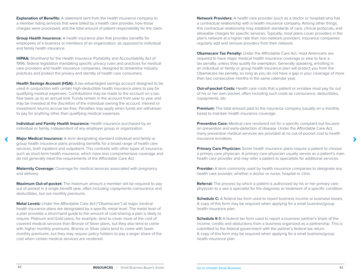**Explanation of Benefits:** A statement sent from the health insurance company to a member listing services that were billed by a health care provider, how those charges were processed, and the total amount of patient responsibility for the claim.

**Group Health Insurance:** A health insurance plan that provides benefits for employees of a business or members of an organization, as opposed to individual and family health insurance.

**HIPAA:** Shorthand for the Health Insurance Portability and Accountability Act of 1996, federal legislation mandating specific privacy rules and practices for medical care providers and health insurance companies, designed to streamline industry practices and protect the privacy and identity of health care consumers.

**Health Savings Account (HSA):** A tax-advantaged savings account designed to be used in conjunction with certain high-deductible health insurance plans to pay for qualifying medical expenses. Contributions may be made to the account on a taxfree basis up to an annual limit. Funds remain in the account from year to year and may be invested at the discretion of the individual owning the account. Interest or investment returns accrue tax-free. Penalties may apply when funds are withdrawn to pay for anything other than qualifying medical expenses.

**Individual and Family Health Insurance:** Health insurance purchased by an individual or family, independent of any employer group or organization.

**Major Medical Insurance:** A term designating standard individual and family or group health insurance plans providing benefits for a broad range of health care services, both inpatient and outpatient. This contrasts with other types of insurance, such as short-term health insurance, which have less comprehensive coverage and do not generally meet the requirements of the Affordable Care Act.

**Maternity Coverage:** Coverage for medical services associated with pregnancy and delivery.

**Maximum Out-of-pocket:** The maximum amount a member will be required to pay out of pocket in a single benefit year, often including copayments coinsurance and deductibles, but not monthly premiums.

health insurance plans are designated by a specific metal level. The metal level of **Metal Levels:** Under the Affordable Care Act ("Obamacare") all major medical a plan provides a short-hand guide to the amount of cost-sharing a plan is likely to require. Platinum and Gold plans, for example, tend to cover more of the cost of covered medical services than Bronze of Silver plans, but they also tend to come with higher monthly premiums. Bronze or Silver plans tend to come with lower monthly premiums, but they may require policy holders to pay a larger share of the cost when certain medical services are rendered.

this contractual relationship may establish standards of care, clinical protocols, and<br>allowable charges for specific services. Typically, most plans cover providers in th<br>plan's network at a higher rate than non-network p **Network Providers:** A health care provider (such as a doctor or hospital) who has<br>a contractual relationship with a health insurance company. Among other things,<br>this contractual relationship may ostablish standards of ca a contractual relationship with a health insurance company. Among other things, this contractual relationship may establish standards of care, clinical protocols, and allowable charges for specific services. Typically, most plans cover providers in the regularly add and remove provders from their network.

regularly add and remove provders from their network.<br>**Obamacare Tax Penalty:** Under the Affordable Care Act, most Americans are e major medical health insurance coverage or else to f<br>ess they qualify for exemption. Generally speaking, enr<br>family or group health insurance plan will protect you f required to have major medical health insurance coverage or else to face a tax penalty, unless they qualify for exemption. Generally speaking, enrolling in an individual or family or group health insurance plan will protect you from the Obamacare tax penalty, so long as you do not have a gap in your coverage of more than two consecutive months in the same calendar year.

**Out-of-pocket Costs:** Health care costs that a patient or enrollee must pay for out of his or her own pocket, often including such costs as coinsurance, deductibles, copayments, etc.

**Premium:** The total amount paid to the insurance company (usually on a monthly basis) to maintain health insurance coverage.

**Preventive Care:** Medical care rendered not for a specific complaint but focused on prevention and early-detection of disease. Under the Affordable Care Act, many preventive medical services are provided at no out-of-pocket cost to health insurance enrollees.

**Primary Care Physician:** Some health insurance plans require a patient to choose a primary care physician. A primary care physician usually serves as a patient's main health care provider and may refer a patient to specialists for additional services.

**Provider:** A term commonly used by health insurance companies to designate any health care provider, whether a doctor or nurse, hospital or clinic.

**Referral:** The process by which a patient is authorized by his or her primary care physician to a see a specialist for the diagnosis or treatment of a specific condition.

**Schedule C:** A federal tax form used to report business income or business losses. A copy of this form may be required when applying for a small business/group health insurance plan.

**Schedule K-1:** A federal tax form used to report a business partner's share of the income, credits and deductions from a business organized as a partnership. This is submitted to the federal government with the partner's federal tax return. A copy of this form may be required when applying for a small business/group health insurance plan.